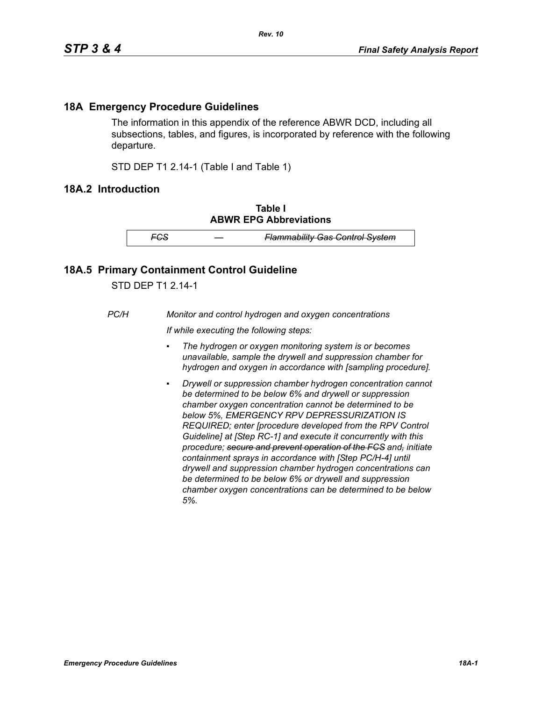## **18A Emergency Procedure Guidelines**

The information in this appendix of the reference ABWR DCD, including all subsections, tables, and figures, is incorporated by reference with the following departure.

STD DEP T1 2.14-1 (Table I and Table 1)

## **18A.2 Introduction**

**Table I ABWR EPG Abbreviations**

*FCS — Flammability Gas Control System*

## **18A.5 Primary Containment Control Guideline**

STD DEP T1 2.14-1

*PC/H Monitor and control hydrogen and oxygen concentrations*

*If while executing the following steps:*

- *▪ The hydrogen or oxygen monitoring system is or becomes unavailable, sample the drywell and suppression chamber for hydrogen and oxygen in accordance with [sampling procedure].*
- *Drywell or suppression chamber hydrogen concentration cannot be determined to be below 6% and drywell or suppression chamber oxygen concentration cannot be determined to be below 5%, EMERGENCY RPV DEPRESSURIZATION IS REQUIRED; enter [procedure developed from the RPV Control Guideline] at [Step RC-1] and execute it concurrently with this procedure; secure and prevent operation of the FCS and, initiate containment sprays in accordance with [Step PC/H-4] until drywell and suppression chamber hydrogen concentrations can be determined to be below 6% or drywell and suppression chamber oxygen concentrations can be determined to be below 5%.*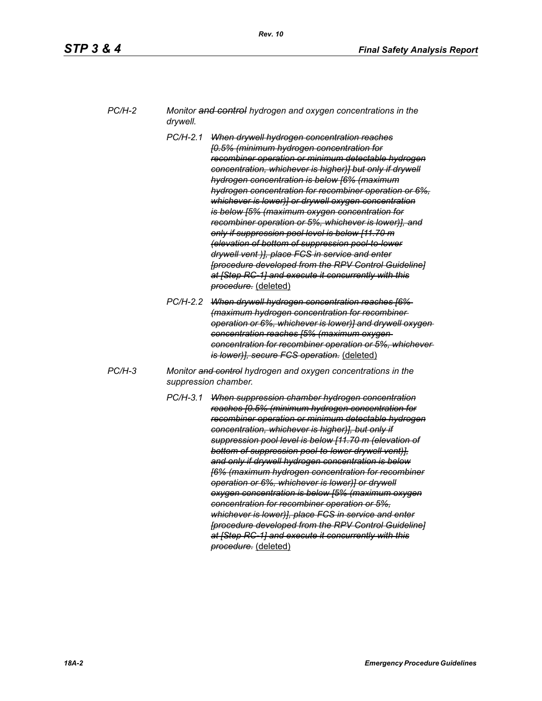| PC/H-2 | Monitor and control hydrogen and oxygen concentrations in the |
|--------|---------------------------------------------------------------|
|        | drywell.                                                      |

- *PC/H-2.1 When drywell hydrogen concentration reaches [0.5% (minimum hydrogen concentration for recombiner operation or minimum detectable hydrogen concentration, whichever is higher)] but only if drywell hydrogen concentration is below [6% (maximum hydrogen concentration for recombiner operation or 6%, whichever is lower)] or drywell oxygen concentration is below [5% (maximum oxygen concentration for recombiner operation or 5%, whichever is lower)], and only if suppression pool level is below [11.70 m (elevation of bottom of suppression pool-to-lower drywell vent )], place FCS in service and enter [procedure developed from the RPV Control Guideline] at [Step RC-1] and execute it concurrently with this procedure.* (deleted)
- *PC/H-2.2 When drywell hydrogen concentration reaches [6% (maximum hydrogen concentration for recombiner operation or 6%, whichever is lower)] and drywell oxygen concentration reaches [5% (maximum oxygen concentration for recombiner operation or 5%, whichever is lower)], secure FCS operation.* (deleted)
- *PC/H-3 Monitor and control hydrogen and oxygen concentrations in the suppression chamber.*
	- *PC/H-3.1 When suppression chamber hydrogen concentration reaches [0.5% (minimum hydrogen concentration for recombiner operation or minimum detectable hydrogen concentration, whichever is higher)], but only if suppression pool level is below [11.70 m (elevation of bottom of suppression pool-to-lower drywell vent)], and only if drywell hydrogen concentration is below [6% (maximum hydrogen concentration for recombiner operation or 6%, whichever is lower)] or drywell oxygen concentration is below [5% (maximum oxygen concentration for recombiner operation or 5%, whichever is lower)], place FCS in service and enter [procedure developed from the RPV Control Guideline] at [Step RC-1] and execute it concurrently with this procedure.* (deleted)